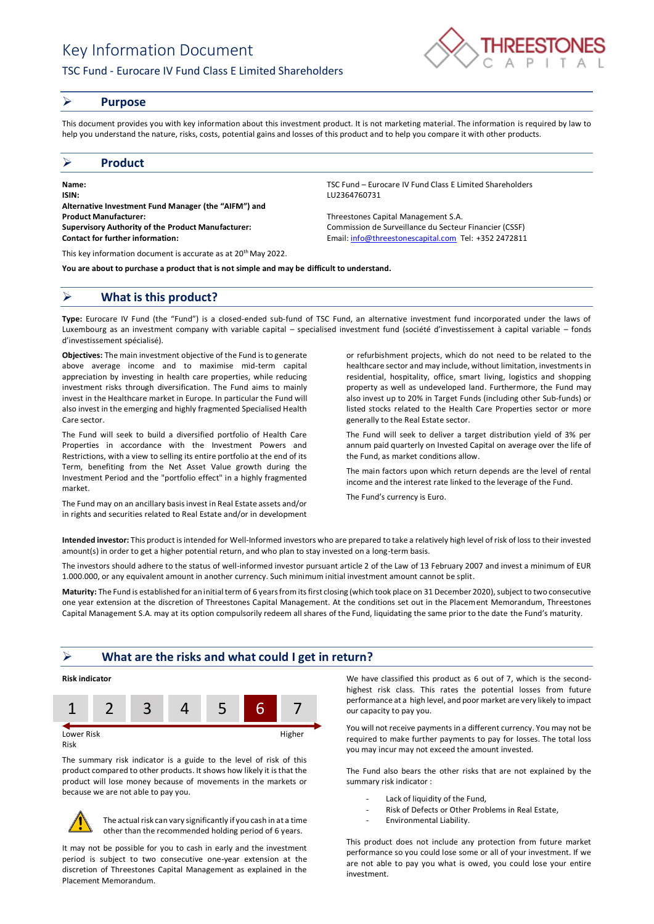# Key Information Document

## TSC Fund - Eurocare IV Fund Class E Limited Shareholders



#### ➢ **Purpose**

This document provides you with key information about this investment product. It is not marketing material. The information is required by law to help you understand the nature, risks, costs, potential gains and losses of this product and to help you compare it with other products.

#### ➢ **Product**

**Name:** TSC Fund – Eurocare IV Fund Class E Limited Shareholders **ISIN:** LU2364760731 **Alternative Investment Fund Manager (the "AIFM") and Product Manufacturer:** Threestones Capital Management S.A. **Supervisory Authority of the Product Manufacturer:** Commission de Surveillance du Secteur Financier (CSSF) **Contact for further information:** Email[: info@threestonescapital.com](mailto:info@threestonescapital.com) Tel: +352 2472811

This key information document is accurate as at 20<sup>th</sup> May 2022.

**You are about to purchase a product that is not simple and may be difficult to understand.**

### ➢ **What is this product?**

**Type:** Eurocare IV Fund (the "Fund") is a closed-ended sub-fund of TSC Fund, an alternative investment fund incorporated under the laws of Luxembourg as an investment company with variable capital – specialised investment fund (société d'investissement à capital variable – fonds d'investissement spécialisé).

**Objectives:** The main investment objective of the Fund is to generate above average income and to maximise mid-term capital appreciation by investing in health care properties, while reducing investment risks through diversification. The Fund aims to mainly invest in the Healthcare market in Europe. In particular the Fund will also invest in the emerging and highly fragmented Specialised Health Care sector.

The Fund will seek to build a diversified portfolio of Health Care Properties in accordance with the Investment Powers and Restrictions, with a view to selling its entire portfolio at the end of its Term, benefiting from the Net Asset Value growth during the Investment Period and the "portfolio effect" in a highly fragmented market.

The Fund may on an ancillary basis invest in Real Estate assets and/or in rights and securities related to Real Estate and/or in development

or refurbishment projects, which do not need to be related to the healthcare sector and may include, without limitation, investments in residential, hospitality, office, smart living, logistics and shopping property as well as undeveloped land. Furthermore, the Fund may also invest up to 20% in Target Funds (including other Sub-funds) or listed stocks related to the Health Care Properties sector or more generally to the Real Estate sector.

The Fund will seek to deliver a target distribution yield of 3% per annum paid quarterly on Invested Capital on average over the life of the Fund, as market conditions allow.

The main factors upon which return depends are the level of rental income and the interest rate linked to the leverage of the Fund.

The Fund's currency is Euro.

**Intended investor:** This product is intended for Well-Informed investors who are prepared to take a relatively high level of risk of loss to their invested amount(s) in order to get a higher potential return, and who plan to stay invested on a long-term basis.

The investors should adhere to the status of well-informed investor pursuant article 2 of the Law of 13 February 2007 and invest a minimum of EUR 1.000.000, or any equivalent amount in another currency. Such minimum initial investment amount cannot be split.

**Maturity:** The Fund is established for an initial term of 6 years from its first closing (which took place on 31 December 2020), subject to two consecutive one year extension at the discretion of Threestones Capital Management. At the conditions set out in the Placement Memorandum, Threestones Capital Management S.A. may at its option compulsorily redeem all shares of the Fund, liquidating the same prior to the date the Fund's maturity.

#### ➢ **What are the risks and what could I get in return?**



Risk

The summary risk indicator is a guide to the level of risk of this product compared to other products. It shows how likely it is that the product will lose money because of movements in the markets or because we are not able to pay you.



The actual risk can vary significantly if you cash in at a time other than the recommended holding period of 6 years.

It may not be possible for you to cash in early and the investment period is subject to two consecutive one-year extension at the discretion of Threestones Capital Management as explained in the Placement Memorandum.

We have classified this product as 6 out of 7, which is the secondhighest risk class. This rates the potential losses from future performance at a high level, and poor market are very likely to impact our capacity to pay you.

You will not receive payments in a different currency. You may not be required to make further payments to pay for losses. The total loss you may incur may not exceed the amount invested.

The Fund also bears the other risks that are not explained by the summary risk indicator :

- Lack of liquidity of the Fund,
- Risk of Defects or Other Problems in Real Estate,
- Environmental Liability.

This product does not include any protection from future market performance so you could lose some or all of your investment. If we are not able to pay you what is owed, you could lose your entire investment.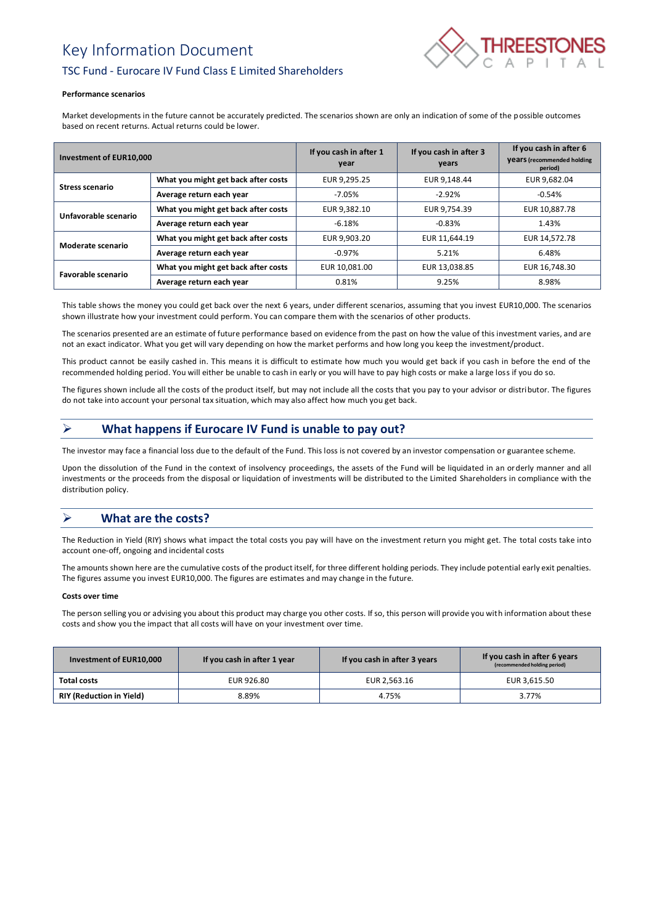# Key Information Document



## TSC Fund - Eurocare IV Fund Class E Limited Shareholders

#### **Performance scenarios**

Market developments in the future cannot be accurately predicted. The scenarios shown are only an indication of some of the possible outcomes based on recent returns. Actual returns could be lower.

| Investment of EUR10,000 |                                     | If you cash in after 1<br>year | If you cash in after 3<br>years | If you cash in after 6<br><b>Vears</b> (recommended holding<br>period) |
|-------------------------|-------------------------------------|--------------------------------|---------------------------------|------------------------------------------------------------------------|
| <b>Stress scenario</b>  | What you might get back after costs | EUR 9,295.25                   | EUR 9.148.44                    | EUR 9,682.04                                                           |
|                         | Average return each year            | $-7.05\%$                      | $-2.92%$                        | $-0.54%$                                                               |
| Unfavorable scenario    | What you might get back after costs | EUR 9,382.10                   | EUR 9.754.39                    | EUR 10,887.78                                                          |
|                         | Average return each year            | $-6.18%$                       | $-0.83%$                        | 1.43%                                                                  |
| Moderate scenario       | What you might get back after costs | EUR 9,903.20                   | EUR 11.644.19                   | EUR 14,572.78                                                          |
|                         | Average return each year            | $-0.97\%$                      | 5.21%                           | 6.48%                                                                  |
| Favorable scenario      | What you might get back after costs | EUR 10.081.00                  | EUR 13,038.85                   | EUR 16,748.30                                                          |
|                         | Average return each year            | 0.81%                          | 9.25%                           | 8.98%                                                                  |

This table shows the money you could get back over the next 6 years, under different scenarios, assuming that you invest EUR10,000. The scenarios shown illustrate how your investment could perform. You can compare them with the scenarios of other products.

The scenarios presented are an estimate of future performance based on evidence from the past on how the value of this investment varies, and are not an exact indicator. What you get will vary depending on how the market performs and how long you keep the investment/product.

This product cannot be easily cashed in. This means it is difficult to estimate how much you would get back if you cash in before the end of the recommended holding period. You will either be unable to cash in early or you will have to pay high costs or make a large loss if you do so.

The figures shown include all the costs of the product itself, but may not include all the costs that you pay to your advisor or distributor. The figures do not take into account your personal tax situation, which may also affect how much you get back.

# ➢ **What happens if Eurocare IV Fund is unable to pay out?**

The investor may face a financial loss due to the default of the Fund. This loss is not covered by an investor compensation or guarantee scheme.

Upon the dissolution of the Fund in the context of insolvency proceedings, the assets of the Fund will be liquidated in an orderly manner and all investments or the proceeds from the disposal or liquidation of investments will be distributed to the Limited Shareholders in compliance with the distribution policy.

# ➢ **What are the costs?**

The Reduction in Yield (RIY) shows what impact the total costs you pay will have on the investment return you might get. The total costs take into account one-off, ongoing and incidental costs

The amounts shown here are the cumulative costs of the product itself, for three different holding periods. They include potential early exit penalties. The figures assume you invest EUR10,000. The figures are estimates and may change in the future.

#### **Costs over time**

The person selling you or advising you about this product may charge you other costs. If so, this person will provide you with information about these costs and show you the impact that all costs will have on your investment over time.

| Investment of EUR10,000         | If you cash in after 1 year | If you cash in after 3 years | If you cash in after 6 years<br>(recommended holding period) |
|---------------------------------|-----------------------------|------------------------------|--------------------------------------------------------------|
| Total costs                     | EUR 926.80                  | EUR 2,563.16                 | EUR 3,615.50                                                 |
| <b>RIY (Reduction in Yield)</b> | 8.89%                       | 4.75%                        | 3.77%                                                        |